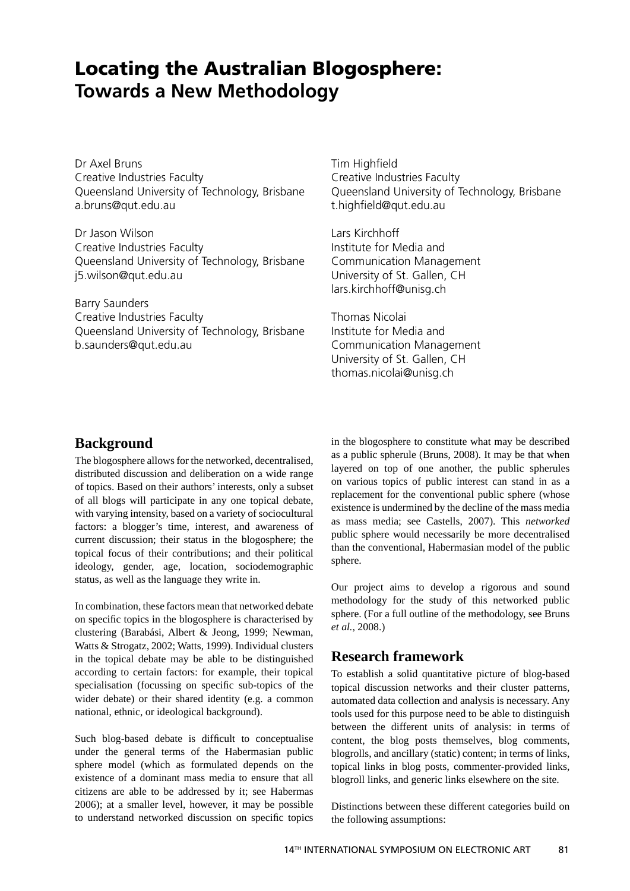# **Locating the Australian Blogosphere: Towards a New Methodology**

Dr Axel Bruns Creative Industries Faculty Queensland University of Technology, Brisbane a.bruns@qut.edu.au

Dr Jason Wilson Creative Industries Faculty Queensland University of Technology, Brisbane j5.wilson@qut.edu.au

Barry Saunders Creative Industries Faculty Queensland University of Technology, Brisbane b.saunders@qut.edu.au

**Tim Highfield** Creative Industries Faculty Queensland University of Technology, Brisbane t.highfield@qut.edu.au

Lars Kirchhoff Institute for Media and Communication Management University of St. Gallen, CH lars.kirchhoff@unisg.ch

Thomas Nicolai Institute for Media and Communication Management University of St. Gallen, CH thomas.nicolai@unisg.ch

## **Background**

The blogosphere allows for the networked, decentralised, distributed discussion and deliberation on a wide range of topics. Based on their authors' interests, only a subset of all blogs will participate in any one topical debate, with varying intensity, based on a variety of sociocultural factors: a blogger's time, interest, and awareness of current discussion; their status in the blogosphere; the topical focus of their contributions; and their political ideology, gender, age, location, sociodemographic status, as well as the language they write in.

In combination, these factors mean that networked debate on specific topics in the blogosphere is characterised by clustering (Barabási, Albert & Jeong, 1999; Newman, Watts & Strogatz, 2002; Watts, 1999). Individual clusters in the topical debate may be able to be distinguished according to certain factors: for example, their topical specialisation (focussing on specific sub-topics of the wider debate) or their shared identity (e.g. a common national, ethnic, or ideological background).

Such blog-based debate is difficult to conceptualise under the general terms of the Habermasian public sphere model (which as formulated depends on the existence of a dominant mass media to ensure that all citizens are able to be addressed by it; see Habermas 2006); at a smaller level, however, it may be possible to understand networked discussion on specific topics in the blogosphere to constitute what may be described as a public spherule (Bruns, 2008). It may be that when layered on top of one another, the public spherules on various topics of public interest can stand in as a replacement for the conventional public sphere (whose existence is undermined by the decline of the mass media as mass media; see Castells, 2007). This *networked* public sphere would necessarily be more decentralised than the conventional, Habermasian model of the public sphere.

Our project aims to develop a rigorous and sound methodology for the study of this networked public sphere. (For a full outline of the methodology, see Bruns *et al.*, 2008.)

# **Research framework**

To establish a solid quantitative picture of blog-based topical discussion networks and their cluster patterns, automated data collection and analysis is necessary. Any tools used for this purpose need to be able to distinguish between the different units of analysis: in terms of content, the blog posts themselves, blog comments, blogrolls, and ancillary (static) content; in terms of links, topical links in blog posts, commenter-provided links, blogroll links, and generic links elsewhere on the site.

Distinctions between these different categories build on the following assumptions: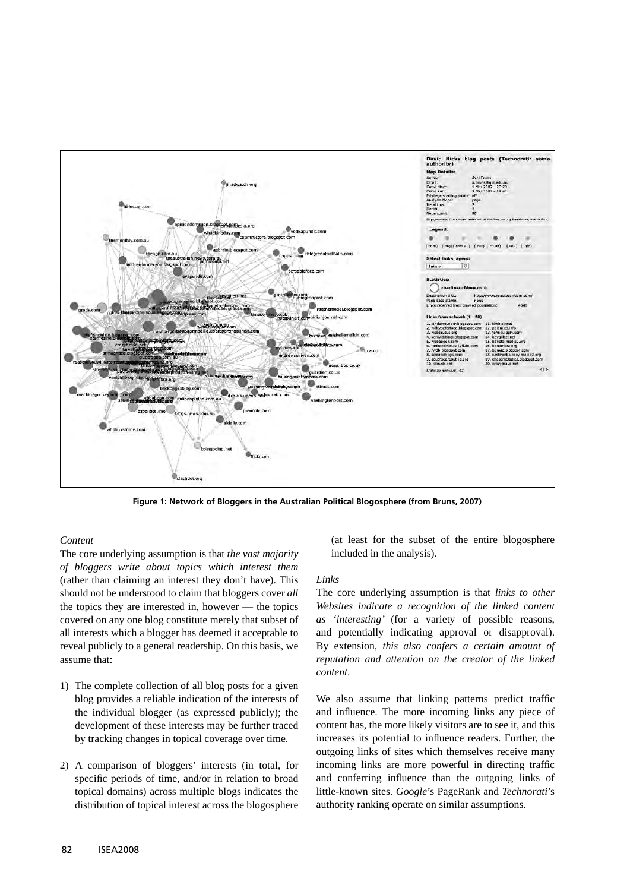

**Figure 1: Network of Bloggers in the Australian Political Blogosphere (from Bruns, 2007)**

## *Content*

The core underlying assumption is that *the vast majority of bloggers write about topics which interest them* (rather than claiming an interest they don't have). This should not be understood to claim that bloggers cover *all* the topics they are interested in, however — the topics covered on any one blog constitute merely that subset of all interests which a blogger has deemed it acceptable to reveal publicly to a general readership. On this basis, we assume that:

- 1) The complete collection of all blog posts for a given blog provides a reliable indication of the interests of the individual blogger (as expressed publicly); the development of these interests may be further traced by tracking changes in topical coverage over time.
- 2) A comparison of bloggers' interests (in total, for specific periods of time, and/or in relation to broad topical domains) across multiple blogs indicates the distribution of topical interest across the blogosphere

(at least for the subset of the entire blogosphere included in the analysis).

## *Links*

The core underlying assumption is that *links to other Websites indicate a recognition of the linked content as 'interesting'* (for a variety of possible reasons, and potentially indicating approval or disapproval). By extension, *this also confers a certain amount of reputation and attention on the creator of the linked content*.

We also assume that linking patterns predict traffic and influence. The more incoming links any piece of content has, the more likely visitors are to see it, and this increases its potential to influence readers. Further, the outgoing links of sites which themselves receive many incoming links are more powerful in directing traffic and conferring influence than the outgoing links of little-known sites. *Google*'s PageRank and *Technorati*'s authority ranking operate on similar assumptions.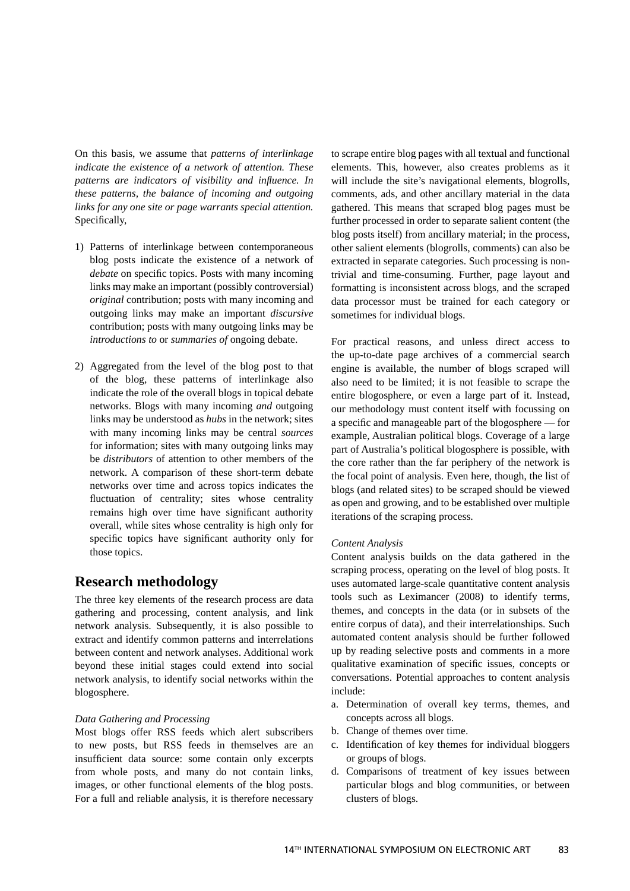On this basis, we assume that *patterns of interlinkage indicate the existence of a network of attention. These patterns are indicators of visibility and influence. In these patterns, the balance of incoming and outgoing links for any one site or page warrants special attention.*  Specifically,

- 1) Patterns of interlinkage between contemporaneous blog posts indicate the existence of a network of *debate* on specific topics. Posts with many incoming links may make an important (possibly controversial) *original* contribution; posts with many incoming and outgoing links may make an important *discursive* contribution; posts with many outgoing links may be *introductions to* or *summaries of* ongoing debate.
- 2) Aggregated from the level of the blog post to that of the blog, these patterns of interlinkage also indicate the role of the overall blogs in topical debate networks. Blogs with many incoming *and* outgoing links may be understood as *hubs* in the network; sites with many incoming links may be central *sources* for information; sites with many outgoing links may be *distributors* of attention to other members of the network. A comparison of these short-term debate networks over time and across topics indicates the fluctuation of centrality; sites whose centrality remains high over time have significant authority overall, while sites whose centrality is high only for specific topics have significant authority only for those topics.

## **Research methodology**

The three key elements of the research process are data gathering and processing, content analysis, and link network analysis. Subsequently, it is also possible to extract and identify common patterns and interrelations between content and network analyses. Additional work beyond these initial stages could extend into social network analysis, to identify social networks within the blogosphere.

## *Data Gathering and Processing*

Most blogs offer RSS feeds which alert subscribers to new posts, but RSS feeds in themselves are an insufficient data source: some contain only excerpts from whole posts, and many do not contain links, images, or other functional elements of the blog posts. For a full and reliable analysis, it is therefore necessary

to scrape entire blog pages with all textual and functional elements. This, however, also creates problems as it will include the site's navigational elements, blogrolls, comments, ads, and other ancillary material in the data gathered. This means that scraped blog pages must be further processed in order to separate salient content (the blog posts itself) from ancillary material; in the process, other salient elements (blogrolls, comments) can also be extracted in separate categories. Such processing is nontrivial and time-consuming. Further, page layout and formatting is inconsistent across blogs, and the scraped data processor must be trained for each category or sometimes for individual blogs.

For practical reasons, and unless direct access to the up-to-date page archives of a commercial search engine is available, the number of blogs scraped will also need to be limited; it is not feasible to scrape the entire blogosphere, or even a large part of it. Instead, our methodology must content itself with focussing on a specific and manageable part of the blogosphere — for example, Australian political blogs. Coverage of a large part of Australia's political blogosphere is possible, with the core rather than the far periphery of the network is the focal point of analysis. Even here, though, the list of blogs (and related sites) to be scraped should be viewed as open and growing, and to be established over multiple iterations of the scraping process.

## *Content Analysis*

Content analysis builds on the data gathered in the scraping process, operating on the level of blog posts. It uses automated large-scale quantitative content analysis tools such as Leximancer (2008) to identify terms, themes, and concepts in the data (or in subsets of the entire corpus of data), and their interrelationships. Such automated content analysis should be further followed up by reading selective posts and comments in a more qualitative examination of specific issues, concepts or conversations. Potential approaches to content analysis include:

- a. Determination of overall key terms, themes, and concepts across all blogs.
- b. Change of themes over time.
- c. Identification of key themes for individual bloggers or groups of blogs.
- d. Comparisons of treatment of key issues between particular blogs and blog communities, or between clusters of blogs.